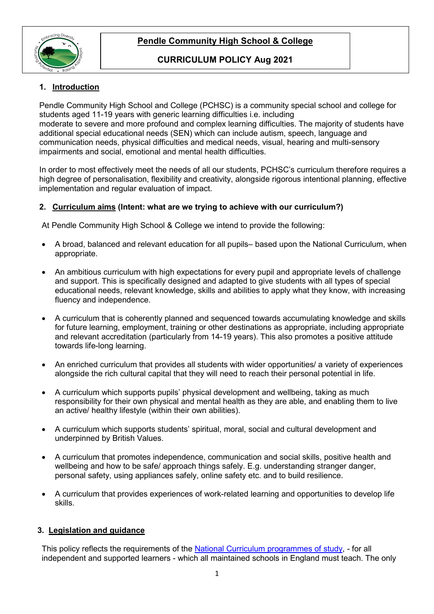

# **Pendle Community High School & College**

## **CURRICULUM POLICY Aug 2021**

## **1. Introduction**

Pendle Community High School and College (PCHSC) is a community special school and college for students aged 11-19 years with generic learning difficulties i.e. including moderate to severe and more profound and complex learning difficulties. The majority of students have additional special educational needs (SEN) which can include autism, speech, language and communication needs, physical difficulties and medical needs, visual, hearing and multi-sensory impairments and social, emotional and mental health difficulties.

In order to most effectively meet the needs of all our students, PCHSC's curriculum therefore requires a high degree of personalisation, flexibility and creativity, alongside rigorous intentional planning, effective implementation and regular evaluation of impact.

## **2. Curriculum aims (Intent: what are we trying to achieve with our curriculum?)**

At Pendle Community High School & College we intend to provide the following:

- A broad, balanced and relevant education for all pupils– based upon the National Curriculum, when appropriate.
- An ambitious curriculum with high expectations for every pupil and appropriate levels of challenge and support. This is specifically designed and adapted to give students with all types of special educational needs, relevant knowledge, skills and abilities to apply what they know, with increasing fluency and independence.
- A curriculum that is coherently planned and sequenced towards accumulating knowledge and skills for future learning, employment, training or other destinations as appropriate, including appropriate and relevant accreditation (particularly from 14-19 years). This also promotes a positive attitude towards life-long learning.
- An enriched curriculum that provides all students with wider opportunities/ a variety of experiences alongside the rich cultural capital that they will need to reach their personal potential in life.
- A curriculum which supports pupils' physical development and wellbeing, taking as much responsibility for their own physical and mental health as they are able, and enabling them to live an active/ healthy lifestyle (within their own abilities).
- A curriculum which supports students' spiritual, moral, social and cultural development and underpinned by British Values.
- A curriculum that promotes independence, communication and social skills, positive health and wellbeing and how to be safe/ approach things safely. E.g. understanding stranger danger, personal safety, using appliances safely, online safety etc. and to build resilience.
- A curriculum that provides experiences of work-related learning and opportunities to develop life skills.

## **3. Legislation and guidance**

This policy reflects the requirements of the [National Curriculum programmes of study,](https://www.gov.uk/government/collections/national-curriculum) - for all independent and supported learners - which all maintained schools in England must teach. The only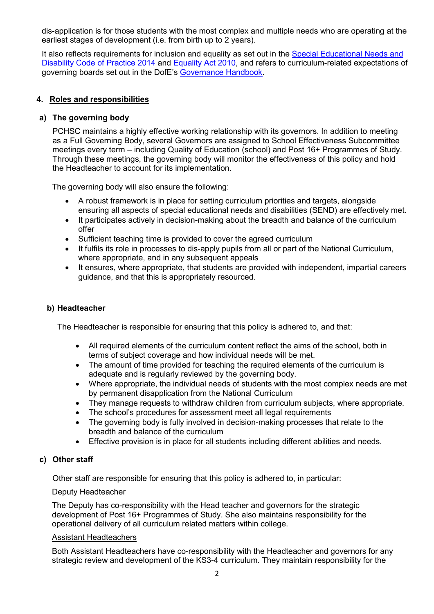dis-application is for those students with the most complex and multiple needs who are operating at the earliest stages of development (i.e. from birth up to 2 years).

It also reflects requirements for inclusion and equality as set out in the Special Educational Needs and [Disability Code of Practice 2014](https://www.gov.uk/government/publications/send-code-of-practice-0-to-25) and [Equality Act 2010,](http://www.legislation.gov.uk/ukpga/2010/15/part/6/chapter/1) and refers to curriculum-related expectations of governing boards set out in the DofE's [Governance Handbook.](https://www.gov.uk/government/publications/governance-handbook)

### **4. Roles and responsibilities**

### **a) The governing body**

PCHSC maintains a highly effective working relationship with its governors. In addition to meeting as a Full Governing Body, several Governors are assigned to School Effectiveness Subcommittee meetings every term – including Quality of Education (school) and Post 16+ Programmes of Study. Through these meetings, the governing body will monitor the effectiveness of this policy and hold the Headteacher to account for its implementation.

The governing body will also ensure the following:

- A robust framework is in place for setting curriculum priorities and targets, alongside ensuring all aspects of special educational needs and disabilities (SEND) are effectively met.
- It participates actively in decision-making about the breadth and balance of the curriculum offer
- Sufficient teaching time is provided to cover the agreed curriculum
- It fulfils its role in processes to dis-apply pupils from all or part of the National Curriculum, where appropriate, and in any subsequent appeals
- It ensures, where appropriate, that students are provided with independent, impartial careers guidance, and that this is appropriately resourced.

### **b) Headteacher**

The Headteacher is responsible for ensuring that this policy is adhered to, and that:

- All required elements of the curriculum content reflect the aims of the school, both in terms of subject coverage and how individual needs will be met.
- The amount of time provided for teaching the required elements of the curriculum is adequate and is requiarly reviewed by the governing body.
- Where appropriate, the individual needs of students with the most complex needs are met by permanent disapplication from the National Curriculum
- They manage requests to withdraw children from curriculum subjects, where appropriate.
- The school's procedures for assessment meet all legal requirements
- The governing body is fully involved in decision-making processes that relate to the breadth and balance of the curriculum
- Effective provision is in place for all students including different abilities and needs.

### **c) Other staff**

Other staff are responsible for ensuring that this policy is adhered to, in particular:

#### Deputy Headteacher

The Deputy has co-responsibility with the Head teacher and governors for the strategic development of Post 16+ Programmes of Study. She also maintains responsibility for the operational delivery of all curriculum related matters within college.

#### Assistant Headteachers

Both Assistant Headteachers have co-responsibility with the Headteacher and governors for any strategic review and development of the KS3-4 curriculum. They maintain responsibility for the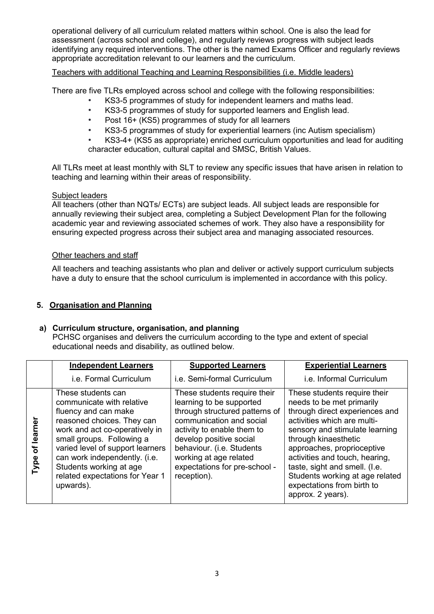operational delivery of all curriculum related matters within school. One is also the lead for assessment (across school and college), and regularly reviews progress with subject leads identifying any required interventions. The other is the named Exams Officer and regularly reviews appropriate accreditation relevant to our learners and the curriculum.

### Teachers with additional Teaching and Learning Responsibilities (i.e. Middle leaders)

There are five TLRs employed across school and college with the following responsibilities:

- *•* KS3-5 programmes of study for independent learners and maths lead.
- *•* KS3-5 programmes of study for supported learners and English lead.
- *•* Post 16+ (KS5) programmes of study for all learners
- *•* KS3-5 programmes of study for experiential learners (inc Autism specialism)
- *•* KS3-4+ (KS5 as appropriate) enriched curriculum opportunities and lead for auditing character education, cultural capital and SMSC, British Values.

All TLRs meet at least monthly with SLT to review any specific issues that have arisen in relation to teaching and learning within their areas of responsibility.

#### Subject leaders

All teachers (other than NQTs/ ECTs) are subject leads. All subject leads are responsible for annually reviewing their subject area, completing a Subject Development Plan for the following academic year and reviewing associated schemes of work. They also have a responsibility for ensuring expected progress across their subject area and managing associated resources.

### Other teachers and staff

All teachers and teaching assistants who plan and deliver or actively support curriculum subjects have a duty to ensure that the school curriculum is implemented in accordance with this policy.

### **5. Organisation and Planning**

## **a) Curriculum structure, organisation, and planning**

PCHSC organises and delivers the curriculum according to the type and extent of special educational needs and disability, as outlined below.

|              |      | <b>Independent Learners</b>                                                                                                                                                                                                                                                                                          | <b>Supported Learners</b>                                                                                                                                                                                                                                                              | <b>Experiential Learners</b>                                                                                                                                                                                                                                                                                                                                                |
|--------------|------|----------------------------------------------------------------------------------------------------------------------------------------------------------------------------------------------------------------------------------------------------------------------------------------------------------------------|----------------------------------------------------------------------------------------------------------------------------------------------------------------------------------------------------------------------------------------------------------------------------------------|-----------------------------------------------------------------------------------------------------------------------------------------------------------------------------------------------------------------------------------------------------------------------------------------------------------------------------------------------------------------------------|
|              |      | i.e. Formal Curriculum                                                                                                                                                                                                                                                                                               | i.e. Semi-formal Curriculum                                                                                                                                                                                                                                                            | i.e. Informal Curriculum                                                                                                                                                                                                                                                                                                                                                    |
| learner<br>৳ | Type | These students can<br>communicate with relative<br>fluency and can make<br>reasoned choices. They can<br>work and act co-operatively in<br>small groups. Following a<br>varied level of support learners<br>can work independently. (i.e.<br>Students working at age<br>related expectations for Year 1<br>upwards). | These students require their<br>learning to be supported<br>through structured patterns of<br>communication and social<br>activity to enable them to<br>develop positive social<br>behaviour. (i.e. Students<br>working at age related<br>expectations for pre-school -<br>reception). | These students require their<br>needs to be met primarily<br>through direct experiences and<br>activities which are multi-<br>sensory and stimulate learning<br>through kinaesthetic<br>approaches, proprioceptive<br>activities and touch, hearing,<br>taste, sight and smell. (I.e.<br>Students working at age related<br>expectations from birth to<br>approx. 2 years). |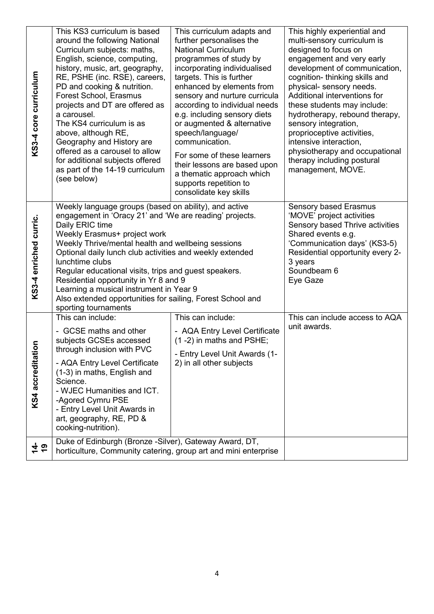| KS3-4 core curriculum           | This KS3 curriculum is based<br>around the following National<br>Curriculum subjects: maths,<br>English, science, computing,<br>history, music, art, geography,<br>RE, PSHE (inc. RSE), careers,<br>PD and cooking & nutrition.<br>Forest School, Erasmus<br>projects and DT are offered as<br>a carousel.<br>The KS4 curriculum is as<br>above, although RE,<br>Geography and History are<br>offered as a carousel to allow<br>for additional subjects offered<br>as part of the 14-19 curriculum<br>(see below)                           | This curriculum adapts and<br>further personalises the<br><b>National Curriculum</b><br>programmes of study by<br>incorporating individualised<br>targets. This is further<br>enhanced by elements from<br>sensory and nurture curricula<br>according to individual needs<br>e.g. including sensory diets<br>or augmented & alternative<br>speech/language/<br>communication.<br>For some of these learners<br>their lessons are based upon<br>a thematic approach which<br>supports repetition to<br>consolidate key skills | This highly experiential and<br>multi-sensory curriculum is<br>designed to focus on<br>engagement and very early<br>development of communication,<br>cognition- thinking skills and<br>physical- sensory needs.<br>Additional interventions for<br>these students may include:<br>hydrotherapy, rebound therapy,<br>sensory integration,<br>proprioceptive activities,<br>intensive interaction,<br>physiotherapy and occupational<br>therapy including postural<br>management, MOVE. |
|---------------------------------|---------------------------------------------------------------------------------------------------------------------------------------------------------------------------------------------------------------------------------------------------------------------------------------------------------------------------------------------------------------------------------------------------------------------------------------------------------------------------------------------------------------------------------------------|------------------------------------------------------------------------------------------------------------------------------------------------------------------------------------------------------------------------------------------------------------------------------------------------------------------------------------------------------------------------------------------------------------------------------------------------------------------------------------------------------------------------------|---------------------------------------------------------------------------------------------------------------------------------------------------------------------------------------------------------------------------------------------------------------------------------------------------------------------------------------------------------------------------------------------------------------------------------------------------------------------------------------|
| KS34 enriched curric.           | Weekly language groups (based on ability), and active<br>engagement in 'Oracy 21' and 'We are reading' projects.<br>Daily ERIC time<br>Weekly Erasmus+ project work<br>Weekly Thrive/mental health and wellbeing sessions<br>Optional daily lunch club activities and weekly extended<br>lunchtime clubs<br>Regular educational visits, trips and guest speakers.<br>Residential opportunity in Yr 8 and 9<br>Learning a musical instrument in Year 9<br>Also extended opportunities for sailing, Forest School and<br>sporting tournaments |                                                                                                                                                                                                                                                                                                                                                                                                                                                                                                                              | Sensory based Erasmus<br>'MOVE' project activities<br>Sensory based Thrive activities<br>Shared events e.g.<br>'Communication days' (KS3-5)<br>Residential opportunity every 2-<br>3 years<br>Soundbeam 6<br>Eye Gaze                                                                                                                                                                                                                                                                 |
| $\overline{5}$<br>KS4 accredita | This can include:<br>- GCSE maths and other<br>subjects GCSEs accessed<br>through inclusion with PVC<br>- AQA Entry Level Certificate<br>(1-3) in maths, English and<br>Science.<br>- WJEC Humanities and ICT.<br>-Agored Cymru PSE<br>- Entry Level Unit Awards in<br>art, geography, RE, PD &<br>cooking-nutrition).                                                                                                                                                                                                                      | This can include:<br>- AQA Entry Level Certificate<br>(1-2) in maths and PSHE;<br>- Entry Level Unit Awards (1-<br>2) in all other subjects                                                                                                                                                                                                                                                                                                                                                                                  | This can include access to AQA<br>unit awards.                                                                                                                                                                                                                                                                                                                                                                                                                                        |
| 수 ㅎ                             | Duke of Edinburgh (Bronze -Silver), Gateway Award, DT,<br>horticulture, Community catering, group art and mini enterprise                                                                                                                                                                                                                                                                                                                                                                                                                   |                                                                                                                                                                                                                                                                                                                                                                                                                                                                                                                              |                                                                                                                                                                                                                                                                                                                                                                                                                                                                                       |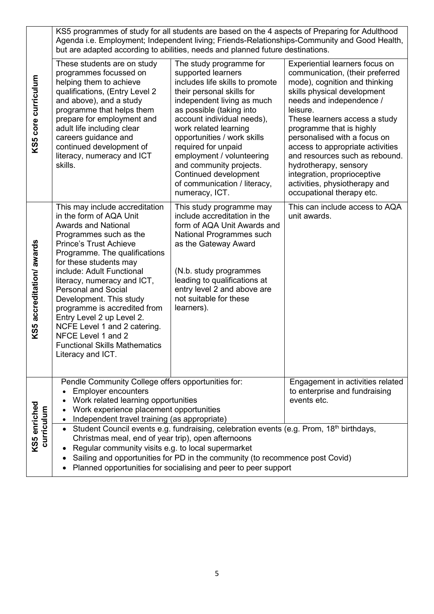|                            | KS5 programmes of study for all students are based on the 4 aspects of Preparing for Adulthood<br>Agenda i.e. Employment; Independent living; Friends-Relationships-Community and Good Health,<br>but are adapted according to abilities, needs and planned future destinations.                                                                                                                                                                                                                                                                                                        |                                                                                                                                                                                                                                                                                                                                                                                                                         |                                                                                                                                                                                                                                                                                                                                                                                                                                                                    |  |
|----------------------------|-----------------------------------------------------------------------------------------------------------------------------------------------------------------------------------------------------------------------------------------------------------------------------------------------------------------------------------------------------------------------------------------------------------------------------------------------------------------------------------------------------------------------------------------------------------------------------------------|-------------------------------------------------------------------------------------------------------------------------------------------------------------------------------------------------------------------------------------------------------------------------------------------------------------------------------------------------------------------------------------------------------------------------|--------------------------------------------------------------------------------------------------------------------------------------------------------------------------------------------------------------------------------------------------------------------------------------------------------------------------------------------------------------------------------------------------------------------------------------------------------------------|--|
| KS5 core curriculum        | These students are on study<br>programmes focussed on<br>helping them to achieve<br>qualifications, (Entry Level 2<br>and above), and a study<br>programme that helps them<br>prepare for employment and<br>adult life including clear<br>careers guidance and<br>continued development of<br>literacy, numeracy and ICT<br>skills.                                                                                                                                                                                                                                                     | The study programme for<br>supported learners<br>includes life skills to promote<br>their personal skills for<br>independent living as much<br>as possible (taking into<br>account individual needs),<br>work related learning<br>opportunities / work skills<br>required for unpaid<br>employment / volunteering<br>and community projects.<br>Continued development<br>of communication / literacy,<br>numeracy, ICT. | Experiential learners focus on<br>communication, (their preferred<br>mode), cognition and thinking<br>skills physical development<br>needs and independence /<br>leisure.<br>These learners access a study<br>programme that is highly<br>personalised with a focus on<br>access to appropriate activities<br>and resources such as rebound.<br>hydrotherapy, sensory<br>integration, proprioceptive<br>activities, physiotherapy and<br>occupational therapy etc. |  |
| KS5 accreditation/ awards  | This may include accreditation<br>in the form of AQA Unit<br><b>Awards and National</b><br>Programmes such as the<br><b>Prince's Trust Achieve</b><br>Programme. The qualifications<br>for these students may<br>include: Adult Functional<br>literacy, numeracy and ICT,<br><b>Personal and Social</b><br>Development. This study<br>programme is accredited from<br>Entry Level 2 up Level 2.<br>NCFE Level 1 and 2 catering.<br>NFCE Level 1 and 2<br><b>Functional Skills Mathematics</b><br>Literacy and ICT.                                                                      | This study programme may<br>include accreditation in the<br>form of AQA Unit Awards and<br>National Programmes such<br>as the Gateway Award<br>(N.b. study programmes<br>leading to qualifications at<br>entry level 2 and above are<br>not suitable for these<br>learners).                                                                                                                                            | This can include access to AQA<br>unit awards.                                                                                                                                                                                                                                                                                                                                                                                                                     |  |
|                            | Pendle Community College offers opportunities for:<br><b>Employer encounters</b><br>Work related learning opportunities<br>Work experience placement opportunities<br>Independent travel training (as appropriate)<br>Student Council events e.g. fundraising, celebration events (e.g. Prom, 18 <sup>th</sup> birthdays,<br>Christmas meal, end of year trip), open afternoons<br>Regular community visits e.g. to local supermarket<br>Sailing and opportunities for PD in the community (to recommence post Covid)<br>Planned opportunities for socialising and peer to peer support |                                                                                                                                                                                                                                                                                                                                                                                                                         | Engagement in activities related<br>to enterprise and fundraising<br>events etc.                                                                                                                                                                                                                                                                                                                                                                                   |  |
| KS5 enriched<br>curriculum |                                                                                                                                                                                                                                                                                                                                                                                                                                                                                                                                                                                         |                                                                                                                                                                                                                                                                                                                                                                                                                         |                                                                                                                                                                                                                                                                                                                                                                                                                                                                    |  |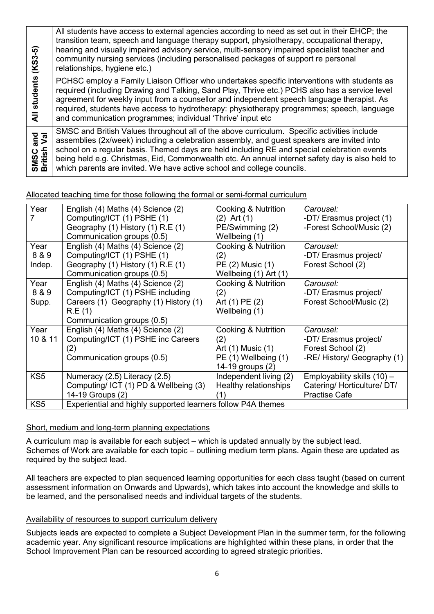| $(KS3-5)$               | All students have access to external agencies according to need as set out in their EHCP; the<br>transition team, speech and language therapy support, physiotherapy, occupational therapy,<br>hearing and visually impaired advisory service, multi-sensory impaired specialist teacher and<br>community nursing services (including personalised packages of support re personal                                                                                    |
|-------------------------|-----------------------------------------------------------------------------------------------------------------------------------------------------------------------------------------------------------------------------------------------------------------------------------------------------------------------------------------------------------------------------------------------------------------------------------------------------------------------|
|                         | relationships, hygiene etc.)                                                                                                                                                                                                                                                                                                                                                                                                                                          |
| students<br>₹           | PCHSC employ a Family Liaison Officer who undertakes specific interventions with students as<br>required (including Drawing and Talking, Sand Play, Thrive etc.) PCHS also has a service level<br>agreement for weekly input from a counsellor and independent speech language therapist. As<br>required, students have access to hydrotherapy: physiotherapy programmes; speech, language<br>and communication programmes; individual 'Thrive' input etc             |
| SMSC and<br>British Val | SMSC and British Values throughout all of the above curriculum. Specific activities include<br>assemblies (2x/week) including a celebration assembly, and guest speakers are invited into<br>school on a regular basis. Themed days are held including RE and special celebration events<br>being held e.g. Christmas, Eid, Commonwealth etc. An annual internet safety day is also held to<br>which parents are invited. We have active school and college councils. |

## Allocated teaching time for those following the formal or semi-formal curriculum

| Year                    | English (4) Maths (4) Science (2)<br>Computing/ICT (1) PSHE (1)<br>Geography (1) History (1) R.E (1)<br>Communication groups (0.5)                     | Cooking & Nutrition<br>$(2)$ Art $(1)$<br>PE/Swimming (2)<br>Wellbeing (1)                  | Carousel:<br>-DT/ Erasmus project (1)<br>-Forest School/Music (2)                      |
|-------------------------|--------------------------------------------------------------------------------------------------------------------------------------------------------|---------------------------------------------------------------------------------------------|----------------------------------------------------------------------------------------|
| Year<br>8 & 9<br>Indep. | English (4) Maths (4) Science (2)<br>Computing/ICT (1) PSHE (1)<br>Geography (1) History (1) R.E (1)<br>Communication groups (0.5)                     | <b>Cooking &amp; Nutrition</b><br>(2)<br>PE (2) Music (1)<br>Wellbeing (1) Art (1)          | Carousel:<br>-DT/ Erasmus project/<br>Forest School (2)                                |
| Year<br>8 & 9<br>Supp.  | English (4) Maths (4) Science (2)<br>Computing/ICT (1) PSHE including<br>Careers (1) Geography (1) History (1)<br>R.E(1)<br>Communication groups (0.5) | Cooking & Nutrition<br>(2)<br>Art (1) PE (2)<br>Wellbeing (1)                               | Carousel:<br>-DT/ Erasmus project/<br>Forest School/Music (2)                          |
| Year<br>10 & 11         | English (4) Maths (4) Science (2)<br>Computing/ICT (1) PSHE inc Careers<br>(2)<br>Communication groups (0.5)                                           | Cooking & Nutrition<br>(2)<br>Art (1) Music (1)<br>PE (1) Wellbeing (1)<br>14-19 groups (2) | Carousel:<br>-DT/ Erasmus project/<br>Forest School (2)<br>-RE/ History/ Geography (1) |
| KS <sub>5</sub>         | Numeracy (2.5) Literacy (2.5)<br>Computing/ ICT (1) PD & Wellbeing (3)<br>14-19 Groups (2)                                                             | Independent living (2)<br>Healthy relationships                                             | Employability skills (10) -<br>Catering/Horticulture/DT/<br><b>Practise Cafe</b>       |
| KS <sub>5</sub>         | Experiential and highly supported learners follow P4A themes                                                                                           |                                                                                             |                                                                                        |

### Short, medium and long-term planning expectations

A curriculum map is available for each subject – which is updated annually by the subject lead. Schemes of Work are available for each topic – outlining medium term plans. Again these are updated as required by the subject lead.

All teachers are expected to plan sequenced learning opportunities for each class taught (based on current assessment information on Onwards and Upwards), which takes into account the knowledge and skills to be learned, and the personalised needs and individual targets of the students.

### Availability of resources to support curriculum delivery

Subjects leads are expected to complete a Subject Development Plan in the summer term, for the following academic year. Any significant resource implications are highlighted within these plans, in order that the School Improvement Plan can be resourced according to agreed strategic priorities.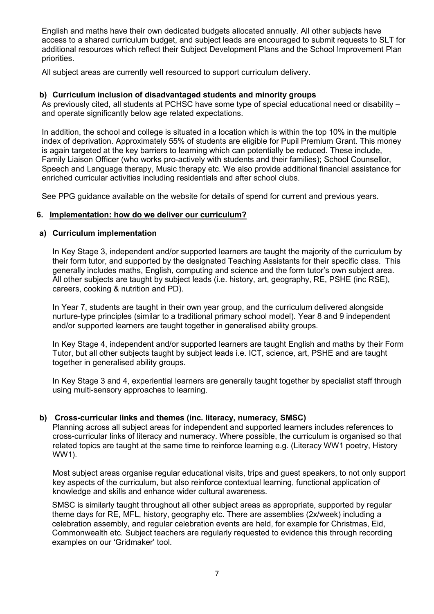English and maths have their own dedicated budgets allocated annually. All other subjects have access to a shared curriculum budget, and subject leads are encouraged to submit requests to SLT for additional resources which reflect their Subject Development Plans and the School Improvement Plan priorities.

All subject areas are currently well resourced to support curriculum delivery.

### **b) Curriculum inclusion of disadvantaged students and minority groups**

As previously cited, all students at PCHSC have some type of special educational need or disability – and operate significantly below age related expectations.

In addition, the school and college is situated in a location which is within the top 10% in the multiple index of deprivation. Approximately 55% of students are eligible for Pupil Premium Grant. This money is again targeted at the key barriers to learning which can potentially be reduced. These include, Family Liaison Officer (who works pro-actively with students and their families); School Counsellor, Speech and Language therapy, Music therapy etc. We also provide additional financial assistance for enriched curricular activities including residentials and after school clubs.

See PPG guidance available on the website for details of spend for current and previous years.

#### **6. Implementation: how do we deliver our curriculum?**

#### **a) Curriculum implementation**

In Key Stage 3, independent and/or supported learners are taught the majority of the curriculum by their form tutor, and supported by the designated Teaching Assistants for their specific class. This generally includes maths, English, computing and science and the form tutor's own subject area. All other subjects are taught by subject leads (i.e. history, art, geography, RE, PSHE (inc RSE), careers, cooking & nutrition and PD).

In Year 7, students are taught in their own year group, and the curriculum delivered alongside nurture-type principles (similar to a traditional primary school model). Year 8 and 9 independent and/or supported learners are taught together in generalised ability groups.

In Key Stage 4, independent and/or supported learners are taught English and maths by their Form Tutor, but all other subjects taught by subject leads i.e. ICT, science, art, PSHE and are taught together in generalised ability groups.

In Key Stage 3 and 4, experiential learners are generally taught together by specialist staff through using multi-sensory approaches to learning.

### **b) Cross-curricular links and themes (inc. literacy, numeracy, SMSC)**

Planning across all subject areas for independent and supported learners includes references to cross-curricular links of literacy and numeracy. Where possible, the curriculum is organised so that related topics are taught at the same time to reinforce learning e.g. (Literacy WW1 poetry, History WW1).

Most subject areas organise regular educational visits, trips and guest speakers, to not only support key aspects of the curriculum, but also reinforce contextual learning, functional application of knowledge and skills and enhance wider cultural awareness.

SMSC is similarly taught throughout all other subject areas as appropriate, supported by regular theme days for RE, MFL, history, geography etc. There are assemblies (2x/week) including a celebration assembly, and regular celebration events are held, for example for Christmas, Eid, Commonwealth etc. Subject teachers are regularly requested to evidence this through recording examples on our 'Gridmaker' tool.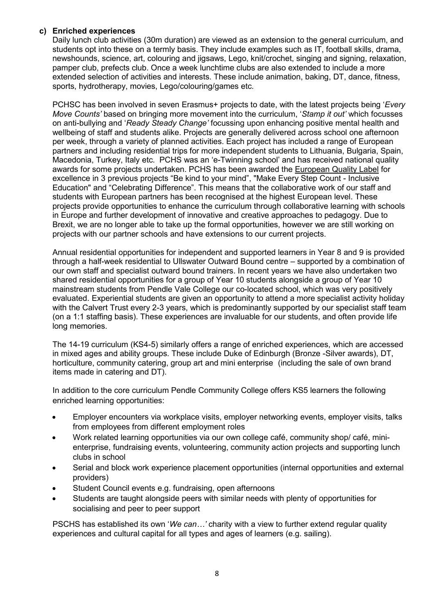### **c) Enriched experiences**

Daily lunch club activities (30m duration) are viewed as an extension to the general curriculum, and students opt into these on a termly basis. They include examples such as IT, football skills, drama, newshounds, science, art, colouring and jigsaws, Lego, knit/crochet, singing and signing, relaxation, pamper club, prefects club. Once a week lunchtime clubs are also extended to include a more extended selection of activities and interests. These include animation, baking, DT, dance, fitness, sports, hydrotherapy, movies, Lego/colouring/games etc.

PCHSC has been involved in seven Erasmus+ projects to date, with the latest projects being '*Every Move Counts'* based on bringing more movement into the curriculum, '*Stamp it out'* which focusses on anti-bullying and '*Ready Steady Change'* focussing upon enhancing positive mental health and wellbeing of staff and students alike. Projects are generally delivered across school one afternoon per week, through a variety of planned activities. Each project has included a range of European partners and including residential trips for more independent students to Lithuania, Bulgaria, Spain, Macedonia, Turkey, Italy etc. PCHS was an 'e-Twinning school' and has received national quality awards for some projects undertaken. PCHS has been awarded the European Quality Label for excellence in 3 previous projects "Be kind to your mind", "Make Every Step Count - Inclusive Education" and "Celebrating Difference". This means that the collaborative work of our staff and students with European partners has been recognised at the highest European level. These projects provide opportunities to enhance the curriculum through collaborative learning with schools in Europe and further development of innovative and creative approaches to pedagogy. Due to Brexit, we are no longer able to take up the formal opportunities, however we are still working on projects with our partner schools and have extensions to our current projects.

Annual residential opportunities for independent and supported learners in Year 8 and 9 is provided through a half-week residential to Ullswater Outward Bound centre – supported by a combination of our own staff and specialist outward bound trainers. In recent years we have also undertaken two shared residential opportunities for a group of Year 10 students alongside a group of Year 10 mainstream students from Pendle Vale College our co-located school, which was very positively evaluated. Experiential students are given an opportunity to attend a more specialist activity holiday with the Calvert Trust every 2-3 years, which is predominantly supported by our specialist staff team (on a 1:1 staffing basis). These experiences are invaluable for our students, and often provide life long memories.

The 14-19 curriculum (KS4-5) similarly offers a range of enriched experiences, which are accessed in mixed ages and ability groups. These include Duke of Edinburgh (Bronze -Silver awards), DT, horticulture, community catering, group art and mini enterprise (including the sale of own brand items made in catering and DT).

In addition to the core curriculum Pendle Community College offers KS5 learners the following enriched learning opportunities:

- Employer encounters via workplace visits, employer networking events, employer visits, talks from employees from different employment roles
- Work related learning opportunities via our own college café, community shop/ café, minienterprise, fundraising events, volunteering, community action projects and supporting lunch clubs in school
- Serial and block work experience placement opportunities (internal opportunities and external providers)
- Student Council events e.g. fundraising, open afternoons
- Students are taught alongside peers with similar needs with plenty of opportunities for socialising and peer to peer support

PSCHS has established its own '*We can…'* charity with a view to further extend regular quality experiences and cultural capital for all types and ages of learners (e.g. sailing).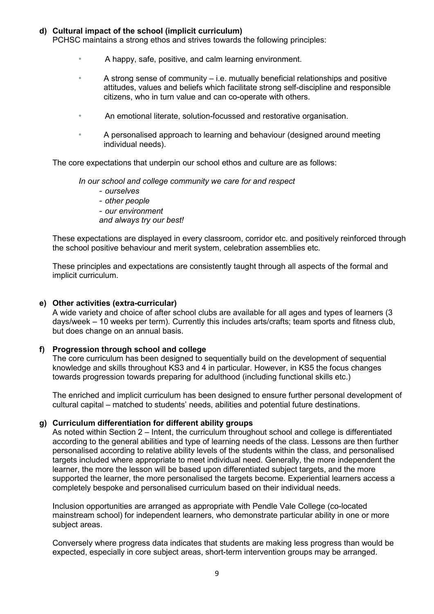### **d) Cultural impact of the school (implicit curriculum)**

PCHSC maintains a strong ethos and strives towards the following principles:

- A happy, safe, positive, and calm learning environment.
- A strong sense of community  $-$  i.e. mutually beneficial relationships and positive attitudes, values and beliefs which facilitate strong self-discipline and responsible citizens, who in turn value and can co-operate with others.
- An emotional literate, solution-focussed and restorative organisation.
- A personalised approach to learning and behaviour (designed around meeting individual needs).

The core expectations that underpin our school ethos and culture are as follows:

*In our school and college community we care for and respect* 

- *- ourselves*
- *- other people*
- *- our environment*

*and always try our best!* 

These expectations are displayed in every classroom, corridor etc. and positively reinforced through the school positive behaviour and merit system, celebration assemblies etc.

These principles and expectations are consistently taught through all aspects of the formal and implicit curriculum.

#### **e) Other activities (extra-curricular)**

A wide variety and choice of after school clubs are available for all ages and types of learners (3 days/week – 10 weeks per term). Currently this includes arts/crafts; team sports and fitness club, but does change on an annual basis.

#### **f) Progression through school and college**

The core curriculum has been designed to sequentially build on the development of sequential knowledge and skills throughout KS3 and 4 in particular. However, in KS5 the focus changes towards progression towards preparing for adulthood (including functional skills etc.)

The enriched and implicit curriculum has been designed to ensure further personal development of cultural capital – matched to students' needs, abilities and potential future destinations.

#### **g) Curriculum differentiation for different ability groups**

As noted within Section 2 – Intent, the curriculum throughout school and college is differentiated according to the general abilities and type of learning needs of the class. Lessons are then further personalised according to relative ability levels of the students within the class, and personalised targets included where appropriate to meet individual need. Generally, the more independent the learner, the more the lesson will be based upon differentiated subject targets, and the more supported the learner, the more personalised the targets become. Experiential learners access a completely bespoke and personalised curriculum based on their individual needs.

Inclusion opportunities are arranged as appropriate with Pendle Vale College (co-located mainstream school) for independent learners, who demonstrate particular ability in one or more subject areas.

Conversely where progress data indicates that students are making less progress than would be expected, especially in core subject areas, short-term intervention groups may be arranged.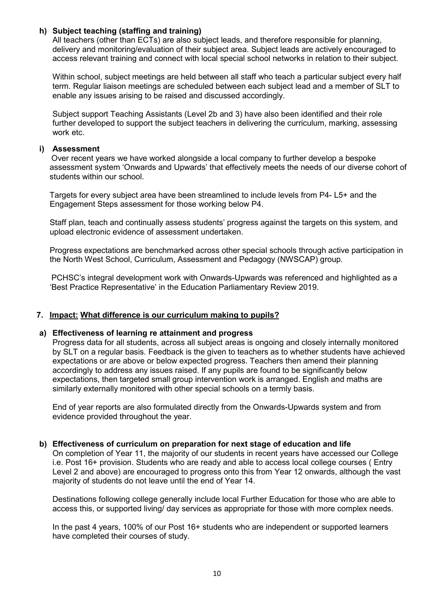### **h) Subject teaching (staffing and training)**

All teachers (other than ECTs) are also subject leads, and therefore responsible for planning, delivery and monitoring/evaluation of their subject area. Subject leads are actively encouraged to access relevant training and connect with local special school networks in relation to their subject.

Within school, subject meetings are held between all staff who teach a particular subject every half term. Regular liaison meetings are scheduled between each subject lead and a member of SLT to enable any issues arising to be raised and discussed accordingly.

Subject support Teaching Assistants (Level 2b and 3) have also been identified and their role further developed to support the subject teachers in delivering the curriculum, marking, assessing work etc.

#### **i) Assessment**

Over recent years we have worked alongside a local company to further develop a bespoke assessment system 'Onwards and Upwards' that effectively meets the needs of our diverse cohort of students within our school.

Targets for every subject area have been streamlined to include levels from P4- L5+ and the Engagement Steps assessment for those working below P4.

Staff plan, teach and continually assess students' progress against the targets on this system, and upload electronic evidence of assessment undertaken.

Progress expectations are benchmarked across other special schools through active participation in the North West School, Curriculum, Assessment and Pedagogy (NWSCAP) group.

PCHSC's integral development work with Onwards-Upwards was referenced and highlighted as a 'Best Practice Representative' in the Education Parliamentary Review 2019.

### **7. Impact: What difference is our curriculum making to pupils?**

#### **a) Effectiveness of learning re attainment and progress**

Progress data for all students, across all subject areas is ongoing and closely internally monitored by SLT on a regular basis. Feedback is the given to teachers as to whether students have achieved expectations or are above or below expected progress. Teachers then amend their planning accordingly to address any issues raised. If any pupils are found to be significantly below expectations, then targeted small group intervention work is arranged. English and maths are similarly externally monitored with other special schools on a termly basis.

End of year reports are also formulated directly from the Onwards-Upwards system and from evidence provided throughout the year.

### **b) Effectiveness of curriculum on preparation for next stage of education and life**

On completion of Year 11, the majority of our students in recent years have accessed our College i.e. Post 16+ provision. Students who are ready and able to access local college courses ( Entry Level 2 and above) are encouraged to progress onto this from Year 12 onwards, although the vast majority of students do not leave until the end of Year 14.

Destinations following college generally include local Further Education for those who are able to access this, or supported living/ day services as appropriate for those with more complex needs.

In the past 4 years, 100% of our Post 16+ students who are independent or supported learners have completed their courses of study.